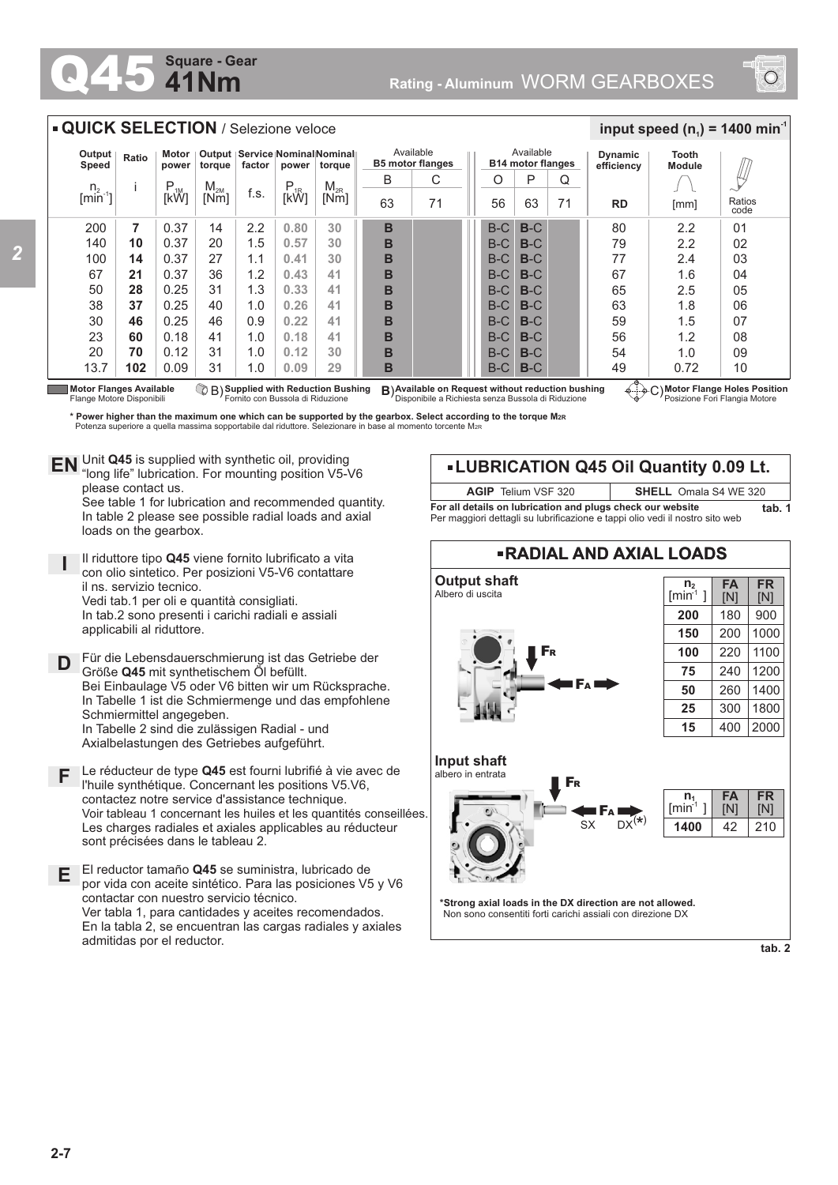## **41Nm Square - Gear**



## **QUICK SELECTION / Selezione veloce**

| Output<br>Speed       | Ratio | Motor<br>power | torque          | factor | power    | Output   Service   Nominal   Nominal   <br>torque | Available<br><b>B5 motor flanges</b> |    |  | Available<br><b>B14 motor flanges</b> |       |    | <b>Dynamic</b><br>efficiency | Tooth<br><b>Module</b> |                |
|-----------------------|-------|----------------|-----------------|--------|----------|---------------------------------------------------|--------------------------------------|----|--|---------------------------------------|-------|----|------------------------------|------------------------|----------------|
| n <sub>2</sub>        |       | D<br>$F_{1M}$  | M <sub>2M</sub> |        | $P_{1R}$ | $M_{2R}$                                          | B                                    | C  |  | Ο                                     | P     | Q  |                              |                        |                |
| $\lim_{n \to \infty}$ |       | [kW]           | [Nm]            | f.s.   | [kW]     | [Nm]                                              | 63                                   | 71 |  | 56                                    | 63    | 71 | <b>RD</b>                    | [mm]                   | Ratios<br>code |
| 200                   | 7     | 0.37           | 14              | 2.2    | 0.80     | 30                                                | B                                    |    |  | $B-C$                                 | $B-C$ |    | 80                           | 2.2                    | 01             |
| 140                   | 10    | 0.37           | 20              | 1.5    | 0.57     | 30                                                | B                                    |    |  | $B-C$                                 | $B-C$ |    | 79                           | 2.2                    | 02             |
| 100                   | 14    | 0.37           | 27              | 1.1    | 0.41     | 30                                                | B                                    |    |  | $B-C$                                 | $B-C$ |    | 77                           | 2.4                    | 03             |
| 67                    | 21    | 0.37           | 36              | 1.2    | 0.43     | 41                                                | B                                    |    |  | $B-C$                                 | $B-C$ |    | 67                           | 1.6                    | 04             |
| 50                    | 28    | 0.25           | 31              | 1.3    | 0.33     | 41                                                | B                                    |    |  | $B-C$                                 | $B-C$ |    | 65                           | 2.5                    | 05             |
| 38                    | 37    | 0.25           | 40              | 1.0    | 0.26     | 41                                                | B                                    |    |  | $B-C$                                 | $B-C$ |    | 63                           | 1.8                    | 06             |
| 30                    | 46    | 0.25           | 46              | 0.9    | 0.22     | 41                                                | B                                    |    |  | $B-C$                                 | $B-C$ |    | 59                           | 1.5                    | 07             |
| 23                    | 60    | 0.18           | 41              | 1.0    | 0.18     | 41                                                | B                                    |    |  | $B-C$                                 | $B-C$ |    | 56                           | 1.2                    | 08             |
| 20                    | 70    | 0.12           | 31              | 1.0    | 0.12     | 30                                                | B                                    |    |  | $B-C$                                 | $B-C$ |    | 54                           | 1.0                    | 09             |
| 13.7                  | 102   | 0.09           | 31              | 1.0    | 0.09     | 29                                                | B                                    |    |  | $B-C$                                 | $B-C$ |    | 49<br>$\overline{a}$         | 0.72                   | 10             |

**Motor Flanges Available** Flange Motore Disponibili

B) **B**) **Supplied with Reduction Bushing** Fornito con Bussola di Riduzione **Available on Request without reduction bushing** Disponibile a Richiesta senza Bussola di Riduzione C) **Motor Flange Holes Position** Posizione Fori Flangia Motore

 $\frac{1}{2}$  **input speed (n**<sub>1</sub>) = 1400 min<sup>-1</sup>

\* Power higher than the maximum one which can be supported by the gearbox. Select according to the torque M2R\*<br>Potenza superiore a quella massima sopportabile dal riduttore. Selezionare in base al momento torcente M2R\*

Unit **Q45** is supplied with synthetic oil, providing **EN** Unit Q45 is supplied with synthetic oil, providing<br>"long life" lubrication. For mounting position V5-V6 please contact us. See table 1 for lubrication and recommended quantity. In table 2 please see possible radial loads and axial loads on the gearbox.

**I** Il riduttore tipo **Q45** viene fornito lubrificato a vita con olio sintetico. Per posizioni V5-V6 contattare il ns. servizio tecnico. Vedi tab.1 per oli e quantità consigliati. In tab.2 sono presenti i carichi radiali e assiali applicabili al riduttore.

**D** Für die Lebensdauerschmierung ist das Getriebe der Größe **Q45** mit synthetischem Öl befüllt. Bei Einbaulage V5 oder V6 bitten wir um Rücksprache. In Tabelle 1 ist die Schmiermenge und das empfohlene Schmiermittel angegeben. In Tabelle 2 sind die zulässigen Radial - und Axialbelastungen des Getriebes aufgeführt.

**F** Le réducteur de type **Q45** est fourni lubrifié à vie avec de l'huile synthétique. Concernant les positions V5.V6, contactez notre service d'assistance technique. Voir tableau 1 concernant les huiles et les quantités conseillées. Les charges radiales et axiales applicables au réducteur sont précisées dans le tableau 2.

**E** El reductor tamaño **Q45** se suministra, lubricado de por vida con aceite sintético. Para las posiciones V5 y V6 contactar con nuestro servicio técnico. Ver tabla 1, para cantidades y aceites recomendados. En la tabla 2, se encuentran las cargas radiales y axiales admitidas por el reductor.

## **LUBRICATION Q45 Oil Quantity 0.09 Lt.**

**AGIP** Telium VSF 320 **SHELL** Omala S4 WE 320

**For all details on lubrication and plugs check our website <b>tab. 1** Per maggiori dettagli su lubrificazione e tappi olio vedi il nostro sito web



**tab. 2**